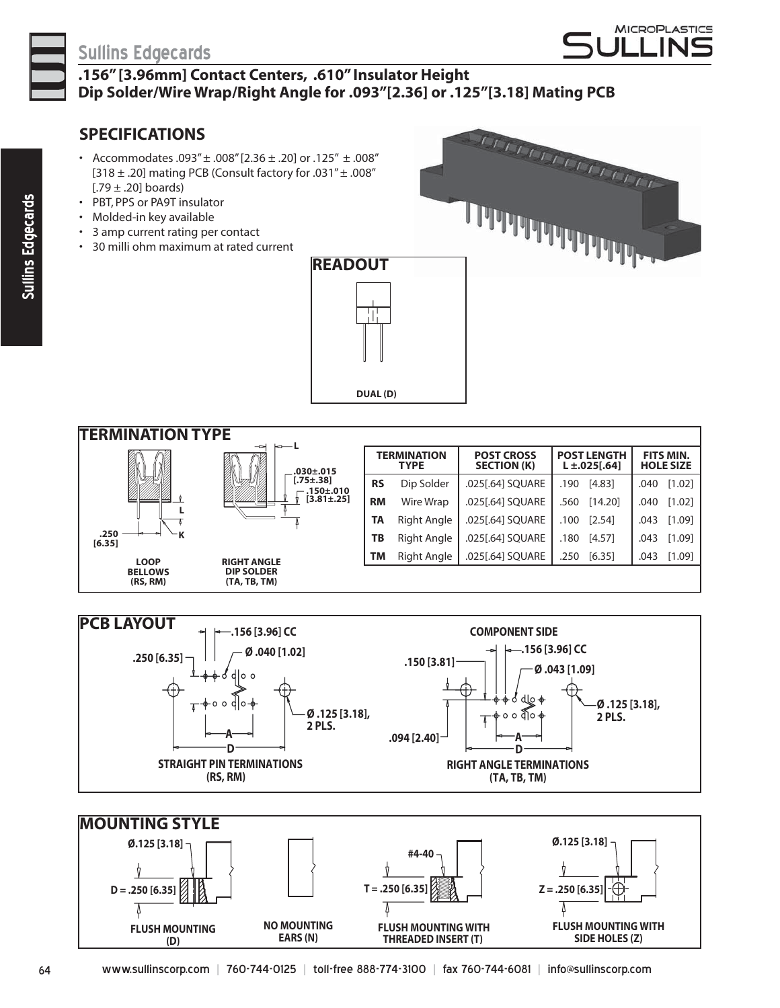

## **Sullins Edgecards**

# **MICROPLASTICS** ⊺ IN⊂

### **.156" [3.96mm] Contact Centers, .610" Insulator Height Dip Solder/Wire Wrap/Right Angle for .093"[2.36] or .125"[3.18] Mating PCB**

**READOUT**

## **SPECIFICATIONS**

- Accommodates .093"  $\pm$  .008" [2.36  $\pm$  .20] or .125"  $\pm$  .008" [318  $\pm$  .20] mating PCB (Consult factory for .031" $\pm$  .008"  $[.79 \pm .20]$  boards)
- PBT, PPS or PA9T insulator
- Molded-in key available
- 3 amp current rating per contact
- 30 milli ohm maximum at rated current



**TERMINATION TYPE RIGHT ANGLE DIP SOLDER (TA, TB, TM) LOOP BELLOWS (RS, RM) .250 [6.35] .030±.015 [.75±.38] .150±.010 [3.81±.25] L L K TERMINATION TYPE POST CROSS SECTION (K) POST LENGTH L ±.025[.64] FITS MIN. HOLE SIZE RS** Dip Solder .025[.64] SQUARE .190 [4.83] .040 [1.02] **RM** Wire Wrap .025[.64] SQUARE .560 [14.20] .040 [1.02] **TA** Right Angle .025[.64] SQUARE .100 [2.54] .043 [1.09] **TB** Right Angle .025[.64] SQUARE .180 [4.57] .043 [1.09] **TM** Right Angle .025[.64] SQUARE .250 [6.35] .043 [1.09]

 **DUAL (D)**

TT